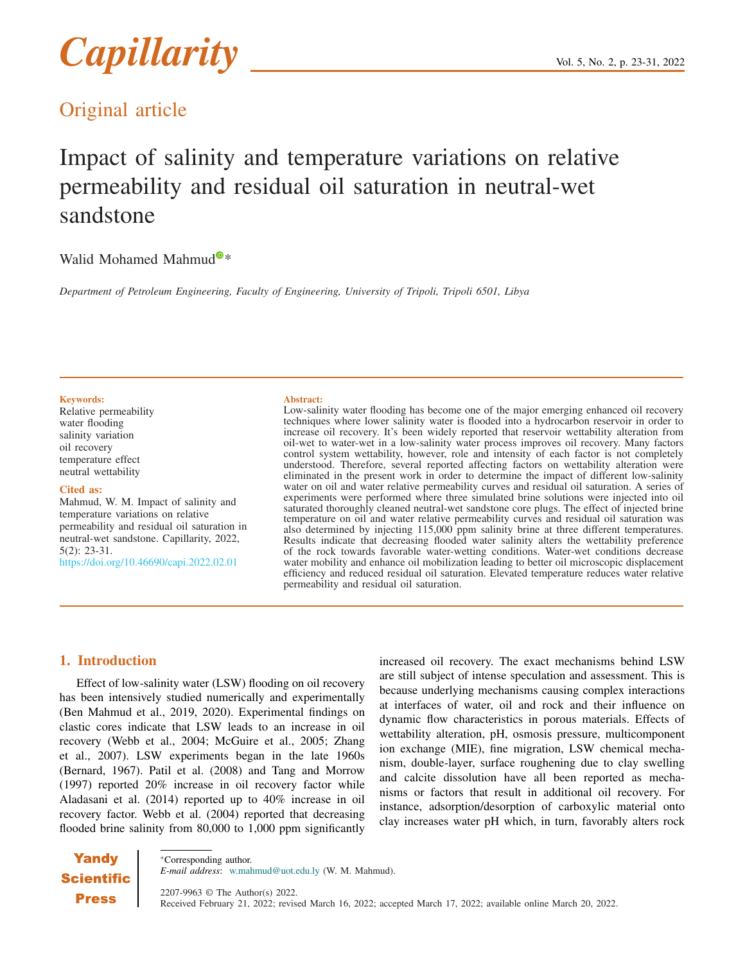# *Capillarity* vol. 5, No. 2, p. 23-31, 2022

### Original article

## Impact of salinity and temperature variations on relative permeability and residual oil saturation in neutral-wet sandstone

#### Wali[d](https://orcid.org/0000-0003-3475-1104) Mohamed Mahmud $\mathbf{Q}^*$

*Department of Petroleum Engineering, Faculty of Engineering, University of Tripoli, Tripoli 6501, Libya*

#### Keywords:

Relative permeability water flooding salinity variation oil recovery temperature effect neutral wettability

#### Cited as:

Mahmud, W. M. Impact of salinity and temperature variations on relative permeability and residual oil saturation in neutral-wet sandstone. Capillarity, 2022, 5(2): 23-31. <https://doi.org/10.46690/capi.2022.02.01>

#### Abstract:

Low-salinity water flooding has become one of the major emerging enhanced oil recovery techniques where lower salinity water is flooded into a hydrocarbon reservoir in order to increase oil recovery. It's been widely reported that reservoir wettability alteration from oil-wet to water-wet in a low-salinity water process improves oil recovery. Many factors control system wettability, however, role and intensity of each factor is not completely understood. Therefore, several reported affecting factors on wettability alteration were eliminated in the present work in order to determine the impact of different low-salinity water on oil and water relative permeability curves and residual oil saturation. A series of experiments were performed where three simulated brine solutions were injected into oil saturated thoroughly cleaned neutral-wet sandstone core plugs. The effect of injected brine temperature on oil and water relative permeability curves and residual oil saturation was also determined by injecting 115,000 ppm salinity brine at three different temperatures. Results indicate that decreasing flooded water salinity alters the wettability preference of the rock towards favorable water-wetting conditions. Water-wet conditions decrease water mobility and enhance oil mobilization leading to better oil microscopic displacement efficiency and reduced residual oil saturation. Elevated temperature reduces water relative permeability and residual oil saturation.

#### 1. Introduction

Effect of low-salinity water (LSW) flooding on oil recovery has been intensively studied numerically and experimentally (Ben Mahmud et al., 2019, 2020). Experimental findings on clastic cores indicate that LSW leads to an increase in oil recovery (Webb et al., 2004; McGuire et al., 2005; Zhang et al., 2007). LSW experiments began in the late 1960s (Bernard, 1967). Patil et al. (2008) and Tang and Morrow (1997) reported 20% increase in oil recovery factor while Aladasani et al. (2014) reported up to 40% increase in oil recovery factor. Webb et al. (2004) reported that decreasing flooded brine salinity from 80,000 to 1,000 ppm significantly

increased oil recovery. The exact mechanisms behind LSW are still subject of intense speculation and assessment. This is because underlying mechanisms causing complex interactions at interfaces of water, oil and rock and their influence on dynamic flow characteristics in porous materials. Effects of wettability alteration, pH, osmosis pressure, multicomponent ion exchange (MIE), fine migration, LSW chemical mechanism, double-layer, surface roughening due to clay swelling and calcite dissolution have all been reported as mechanisms or factors that result in additional oil recovery. For instance, adsorption/desorption of carboxylic material onto clay increases water pH which, in turn, favorably alters rock

**Yandy Scientific Press** 

<sup>∗</sup>Corresponding author. *E-mail address*: w.mahmud@uot.edu.ly (W. M. Mahmud).

2207-9963 © The Author(s) 2022. Received February 21, 2022; revised March 16, 2022; accepted March 17, 2022; available online March 20, 2022.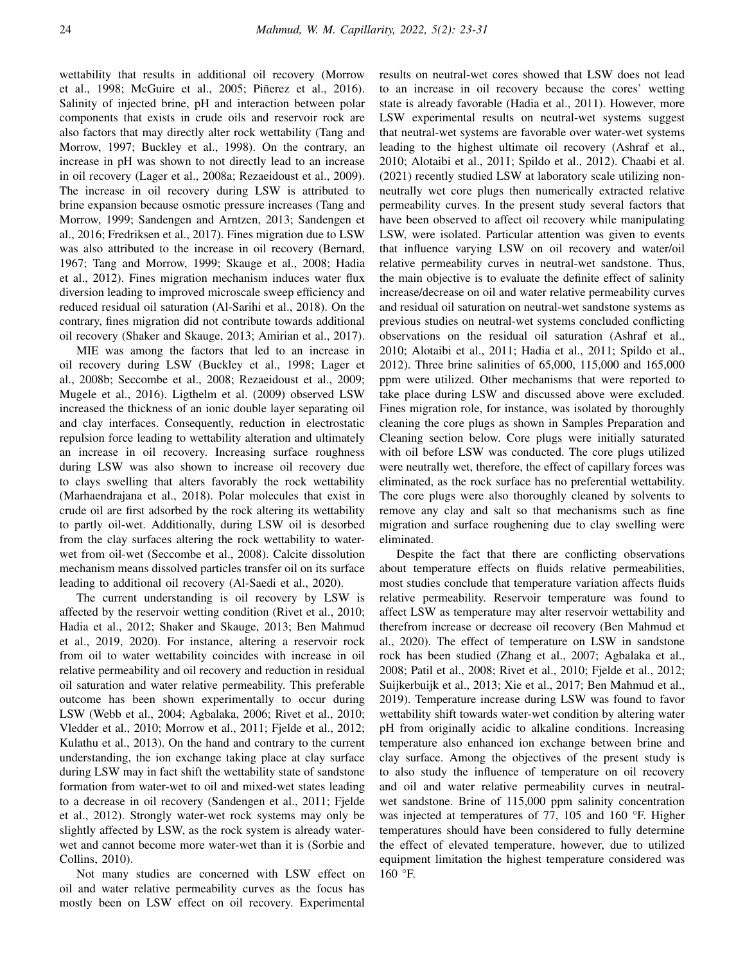wettability that results in additional oil recovery (Morrow et al., 1998; McGuire et al., 2005; Piñerez et al., 2016). Salinity of injected brine, pH and interaction between polar components that exists in crude oils and reservoir rock are also factors that may directly alter rock wettability (Tang and Morrow, 1997; Buckley et al., 1998). On the contrary, an increase in pH was shown to not directly lead to an increase in oil recovery (Lager et al., 2008a; Rezaeidoust et al., 2009). The increase in oil recovery during LSW is attributed to brine expansion because osmotic pressure increases (Tang and Morrow, 1999; Sandengen and Arntzen, 2013; Sandengen et al., 2016; Fredriksen et al., 2017). Fines migration due to LSW was also attributed to the increase in oil recovery (Bernard, 1967; Tang and Morrow, 1999; Skauge et al., 2008; Hadia et al., 2012). Fines migration mechanism induces water flux diversion leading to improved microscale sweep efficiency and reduced residual oil saturation (Al-Sarihi et al., 2018). On the contrary, fines migration did not contribute towards additional oil recovery (Shaker and Skauge, 2013; Amirian et al., 2017).

MIE was among the factors that led to an increase in oil recovery during LSW (Buckley et al., 1998; Lager et al., 2008b; Seccombe et al., 2008; Rezaeidoust et al., 2009; Mugele et al., 2016). Ligthelm et al. (2009) observed LSW increased the thickness of an ionic double layer separating oil and clay interfaces. Consequently, reduction in electrostatic repulsion force leading to wettability alteration and ultimately an increase in oil recovery. Increasing surface roughness during LSW was also shown to increase oil recovery due to clays swelling that alters favorably the rock wettability (Marhaendrajana et al., 2018). Polar molecules that exist in crude oil are first adsorbed by the rock altering its wettability to partly oil-wet. Additionally, during LSW oil is desorbed from the clay surfaces altering the rock wettability to waterwet from oil-wet (Seccombe et al., 2008). Calcite dissolution mechanism means dissolved particles transfer oil on its surface leading to additional oil recovery (Al-Saedi et al., 2020).

The current understanding is oil recovery by LSW is affected by the reservoir wetting condition (Rivet et al., 2010; Hadia et al., 2012; Shaker and Skauge, 2013; Ben Mahmud et al., 2019, 2020). For instance, altering a reservoir rock from oil to water wettability coincides with increase in oil relative permeability and oil recovery and reduction in residual oil saturation and water relative permeability. This preferable outcome has been shown experimentally to occur during LSW (Webb et al., 2004; Agbalaka, 2006; Rivet et al., 2010; Vledder et al., 2010; Morrow et al., 2011; Fjelde et al., 2012; Kulathu et al., 2013). On the hand and contrary to the current understanding, the ion exchange taking place at clay surface during LSW may in fact shift the wettability state of sandstone formation from water-wet to oil and mixed-wet states leading to a decrease in oil recovery (Sandengen et al., 2011; Fjelde et al., 2012). Strongly water-wet rock systems may only be slightly affected by LSW, as the rock system is already waterwet and cannot become more water-wet than it is (Sorbie and Collins, 2010).

Not many studies are concerned with LSW effect on oil and water relative permeability curves as the focus has mostly been on LSW effect on oil recovery. Experimental results on neutral-wet cores showed that LSW does not lead to an increase in oil recovery because the cores' wetting state is already favorable (Hadia et al., 2011). However, more LSW experimental results on neutral-wet systems suggest that neutral-wet systems are favorable over water-wet systems leading to the highest ultimate oil recovery (Ashraf et al., 2010; Alotaibi et al., 2011; Spildo et al., 2012). Chaabi et al. (2021) recently studied LSW at laboratory scale utilizing nonneutrally wet core plugs then numerically extracted relative permeability curves. In the present study several factors that have been observed to affect oil recovery while manipulating LSW, were isolated. Particular attention was given to events that influence varying LSW on oil recovery and water/oil relative permeability curves in neutral-wet sandstone. Thus, the main objective is to evaluate the definite effect of salinity increase/decrease on oil and water relative permeability curves and residual oil saturation on neutral-wet sandstone systems as previous studies on neutral-wet systems concluded conflicting observations on the residual oil saturation (Ashraf et al., 2010; Alotaibi et al., 2011; Hadia et al., 2011; Spildo et al., 2012). Three brine salinities of 65,000, 115,000 and 165,000 ppm were utilized. Other mechanisms that were reported to take place during LSW and discussed above were excluded. Fines migration role, for instance, was isolated by thoroughly cleaning the core plugs as shown in Samples Preparation and Cleaning section below. Core plugs were initially saturated with oil before LSW was conducted. The core plugs utilized were neutrally wet, therefore, the effect of capillary forces was eliminated, as the rock surface has no preferential wettability. The core plugs were also thoroughly cleaned by solvents to remove any clay and salt so that mechanisms such as fine migration and surface roughening due to clay swelling were eliminated.

Despite the fact that there are conflicting observations about temperature effects on fluids relative permeabilities, most studies conclude that temperature variation affects fluids relative permeability. Reservoir temperature was found to affect LSW as temperature may alter reservoir wettability and therefrom increase or decrease oil recovery (Ben Mahmud et al., 2020). The effect of temperature on LSW in sandstone rock has been studied (Zhang et al., 2007; Agbalaka et al., 2008; Patil et al., 2008; Rivet et al., 2010; Fjelde et al., 2012; Suijkerbuijk et al., 2013; Xie et al., 2017; Ben Mahmud et al., 2019). Temperature increase during LSW was found to favor wettability shift towards water-wet condition by altering water pH from originally acidic to alkaline conditions. Increasing temperature also enhanced ion exchange between brine and clay surface. Among the objectives of the present study is to also study the influence of temperature on oil recovery and oil and water relative permeability curves in neutralwet sandstone. Brine of 115,000 ppm salinity concentration was injected at temperatures of 77, 105 and 160 °F. Higher temperatures should have been considered to fully determine the effect of elevated temperature, however, due to utilized equipment limitation the highest temperature considered was 160 °F.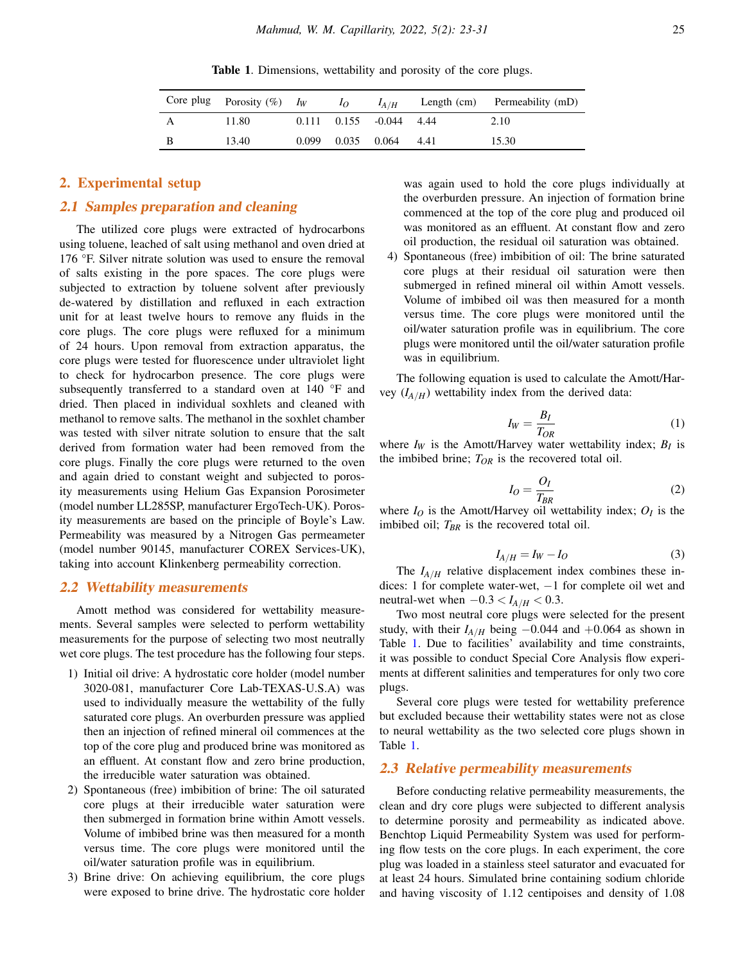Table 1. Dimensions, wettability and porosity of the core plugs.

<span id="page-2-0"></span>

| Core plug Porosity $(\%)$ I <sub>W</sub> |       | $I_O$ | $I_{A/H}$                       |      | Length (cm) Permeability (mD) |
|------------------------------------------|-------|-------|---------------------------------|------|-------------------------------|
| 11.80                                    |       |       | $0.111$ $0.155$ $-0.044$ $4.44$ |      | 2.10                          |
| 13.40                                    | 0.099 |       | $0.035$ $0.064$                 | 4.41 | 15.30                         |

#### 2. Experimental setup

#### 2.1 Samples preparation and cleaning

The utilized core plugs were extracted of hydrocarbons using toluene, leached of salt using methanol and oven dried at 176 °F. Silver nitrate solution was used to ensure the removal of salts existing in the pore spaces. The core plugs were subjected to extraction by toluene solvent after previously de-watered by distillation and refluxed in each extraction unit for at least twelve hours to remove any fluids in the core plugs. The core plugs were refluxed for a minimum of 24 hours. Upon removal from extraction apparatus, the core plugs were tested for fluorescence under ultraviolet light to check for hydrocarbon presence. The core plugs were subsequently transferred to a standard oven at 140 °F and dried. Then placed in individual soxhlets and cleaned with methanol to remove salts. The methanol in the soxhlet chamber was tested with silver nitrate solution to ensure that the salt derived from formation water had been removed from the core plugs. Finally the core plugs were returned to the oven and again dried to constant weight and subjected to porosity measurements using Helium Gas Expansion Porosimeter (model number LL285SP, manufacturer ErgoTech-UK). Porosity measurements are based on the principle of Boyle's Law. Permeability was measured by a Nitrogen Gas permeameter (model number 90145, manufacturer COREX Services-UK), taking into account Klinkenberg permeability correction.

#### 2.2 Wettability measurements

Amott method was considered for wettability measurements. Several samples were selected to perform wettability measurements for the purpose of selecting two most neutrally wet core plugs. The test procedure has the following four steps.

- 1) Initial oil drive: A hydrostatic core holder (model number 3020-081, manufacturer Core Lab-TEXAS-U.S.A) was used to individually measure the wettability of the fully saturated core plugs. An overburden pressure was applied then an injection of refined mineral oil commences at the top of the core plug and produced brine was monitored as an effluent. At constant flow and zero brine production, the irreducible water saturation was obtained.
- 2) Spontaneous (free) imbibition of brine: The oil saturated core plugs at their irreducible water saturation were then submerged in formation brine within Amott vessels. Volume of imbibed brine was then measured for a month versus time. The core plugs were monitored until the oil/water saturation profile was in equilibrium.
- 3) Brine drive: On achieving equilibrium, the core plugs were exposed to brine drive. The hydrostatic core holder

was again used to hold the core plugs individually at the overburden pressure. An injection of formation brine commenced at the top of the core plug and produced oil was monitored as an effluent. At constant flow and zero oil production, the residual oil saturation was obtained.

4) Spontaneous (free) imbibition of oil: The brine saturated core plugs at their residual oil saturation were then submerged in refined mineral oil within Amott vessels. Volume of imbibed oil was then measured for a month versus time. The core plugs were monitored until the oil/water saturation profile was in equilibrium. The core plugs were monitored until the oil/water saturation profile was in equilibrium.

The following equation is used to calculate the Amott/Harvey  $(I_{A/H})$  wettability index from the derived data:

$$
I_W = \frac{B_I}{T_{OR}}\tag{1}
$$

where  $I_W$  is the Amott/Harvey water wettability index;  $B_I$  is the imbibed brine;  $T_{OR}$  is the recovered total oil.

$$
I_O = \frac{O_I}{T_{BR}}\tag{2}
$$

where  $I_O$  is the Amott/Harvey oil wettability index;  $O_I$  is the imbibed oil;  $T_{BR}$  is the recovered total oil.

$$
I_{A/H} = I_W - I_O \tag{3}
$$

The  $I_{A/H}$  relative displacement index combines these indices: 1 for complete water-wet, −1 for complete oil wet and neutral-wet when  $-0.3 < I_{A/H} < 0.3$ .

Two most neutral core plugs were selected for the present study, with their  $I_{A/H}$  being  $-0.044$  and  $+0.064$  as shown in Table [1.](#page-2-0) Due to facilities' availability and time constraints, it was possible to conduct Special Core Analysis flow experiments at different salinities and temperatures for only two core plugs.

Several core plugs were tested for wettability preference but excluded because their wettability states were not as close to neural wettability as the two selected core plugs shown in Table [1.](#page-2-0)

#### 2.3 Relative permeability measurements

Before conducting relative permeability measurements, the clean and dry core plugs were subjected to different analysis to determine porosity and permeability as indicated above. Benchtop Liquid Permeability System was used for performing flow tests on the core plugs. In each experiment, the core plug was loaded in a stainless steel saturator and evacuated for at least 24 hours. Simulated brine containing sodium chloride and having viscosity of 1.12 centipoises and density of 1.08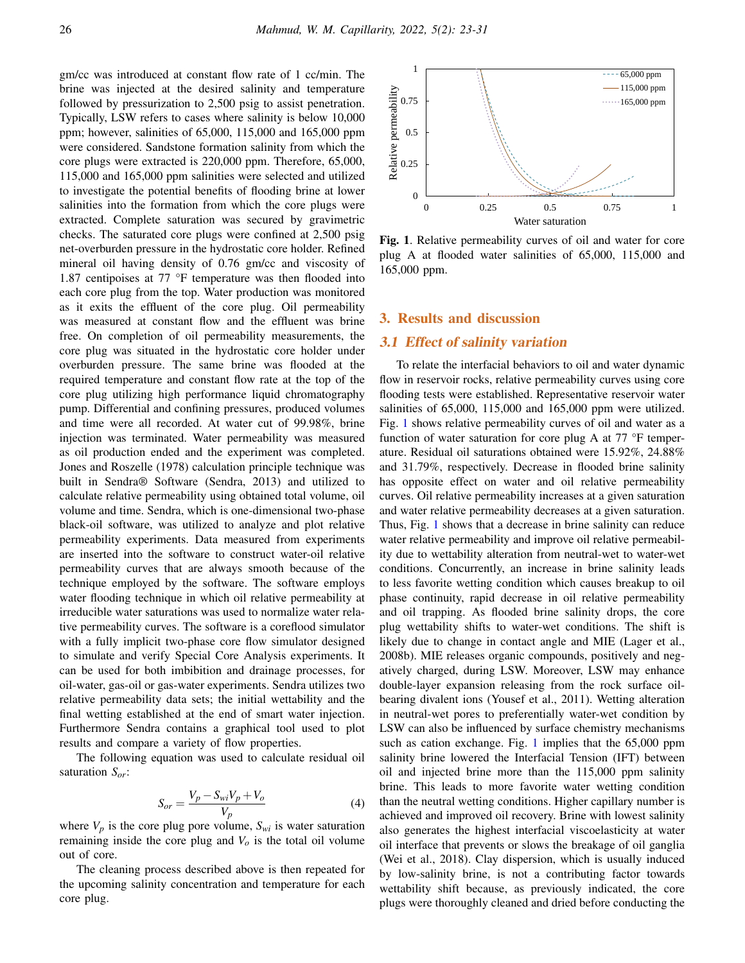gm/cc was introduced at constant flow rate of 1 cc/min. The brine was injected at the desired salinity and temperature followed by pressurization to 2,500 psig to assist penetration. Typically, LSW refers to cases where salinity is below 10,000 ppm; however, salinities of 65,000, 115,000 and 165,000 ppm were considered. Sandstone formation salinity from which the core plugs were extracted is 220,000 ppm. Therefore, 65,000, 115,000 and 165,000 ppm salinities were selected and utilized to investigate the potential benefits of flooding brine at lower salinities into the formation from which the core plugs were extracted. Complete saturation was secured by gravimetric checks. The saturated core plugs were confined at 2,500 psig net-overburden pressure in the hydrostatic core holder. Refined mineral oil having density of 0.76 gm/cc and viscosity of 1.87 centipoises at 77 °F temperature was then flooded into each core plug from the top. Water production was monitored as it exits the effluent of the core plug. Oil permeability was measured at constant flow and the effluent was brine free. On completion of oil permeability measurements, the core plug was situated in the hydrostatic core holder under overburden pressure. The same brine was flooded at the required temperature and constant flow rate at the top of the core plug utilizing high performance liquid chromatography pump. Differential and confining pressures, produced volumes and time were all recorded. At water cut of 99.98%, brine injection was terminated. Water permeability was measured as oil production ended and the experiment was completed. Jones and Roszelle (1978) calculation principle technique was built in Sendra® Software (Sendra, 2013) and utilized to calculate relative permeability using obtained total volume, oil volume and time. Sendra, which is one-dimensional two-phase black-oil software, was utilized to analyze and plot relative permeability experiments. Data measured from experiments are inserted into the software to construct water-oil relative permeability curves that are always smooth because of the technique employed by the software. The software employs water flooding technique in which oil relative permeability at irreducible water saturations was used to normalize water relative permeability curves. The software is a coreflood simulator with a fully implicit two-phase core flow simulator designed to simulate and verify Special Core Analysis experiments. It can be used for both imbibition and drainage processes, for oil-water, gas-oil or gas-water experiments. Sendra utilizes two relative permeability data sets; the initial wettability and the final wetting established at the end of smart water injection. Furthermore Sendra contains a graphical tool used to plot results and compare a variety of flow properties.

The following equation was used to calculate residual oil saturation *Sor*:

$$
S_{or} = \frac{V_p - S_{wi}V_p + V_o}{V_p} \tag{4}
$$

where  $V_p$  is the core plug pore volume,  $S_{wi}$  is water saturation remaining inside the core plug and  $V<sub>o</sub>$  is the total oil volume out of core.

The cleaning process described above is then repeated for the upcoming salinity concentration and temperature for each core plug.



<span id="page-3-0"></span>Fig. 1. Relative permeability curves of oil and water for core plug A at flooded water salinities of 65,000, 115,000 and 165,000 ppm.

#### 3. Results and discussion

#### 3.1 Effect of salinity variation

To relate the interfacial behaviors to oil and water dynamic flow in reservoir rocks, relative permeability curves using core flooding tests were established. Representative reservoir water salinities of 65,000, 115,000 and 165,000 ppm were utilized. Fig. [1](#page-3-0) shows relative permeability curves of oil and water as a function of water saturation for core plug A at 77 °F temperature. Residual oil saturations obtained were 15.92%, 24.88% and 31.79%, respectively. Decrease in flooded brine salinity has opposite effect on water and oil relative permeability curves. Oil relative permeability increases at a given saturation and water relative permeability decreases at a given saturation. Thus, Fig. [1](#page-3-0) shows that a decrease in brine salinity can reduce water relative permeability and improve oil relative permeability due to wettability alteration from neutral-wet to water-wet conditions. Concurrently, an increase in brine salinity leads to less favorite wetting condition which causes breakup to oil phase continuity, rapid decrease in oil relative permeability and oil trapping. As flooded brine salinity drops, the core plug wettability shifts to water-wet conditions. The shift is likely due to change in contact angle and MIE (Lager et al., 2008b). MIE releases organic compounds, positively and negatively charged, during LSW. Moreover, LSW may enhance double-layer expansion releasing from the rock surface oilbearing divalent ions (Yousef et al., 2011). Wetting alteration in neutral-wet pores to preferentially water-wet condition by LSW can also be influenced by surface chemistry mechanisms such as cation exchange. Fig. [1](#page-3-0) implies that the 65,000 ppm salinity brine lowered the Interfacial Tension (IFT) between oil and injected brine more than the 115,000 ppm salinity brine. This leads to more favorite water wetting condition than the neutral wetting conditions. Higher capillary number is achieved and improved oil recovery. Brine with lowest salinity also generates the highest interfacial viscoelasticity at water oil interface that prevents or slows the breakage of oil ganglia (Wei et al., 2018). Clay dispersion, which is usually induced by low-salinity brine, is not a contributing factor towards wettability shift because, as previously indicated, the core plugs were thoroughly cleaned and dried before conducting the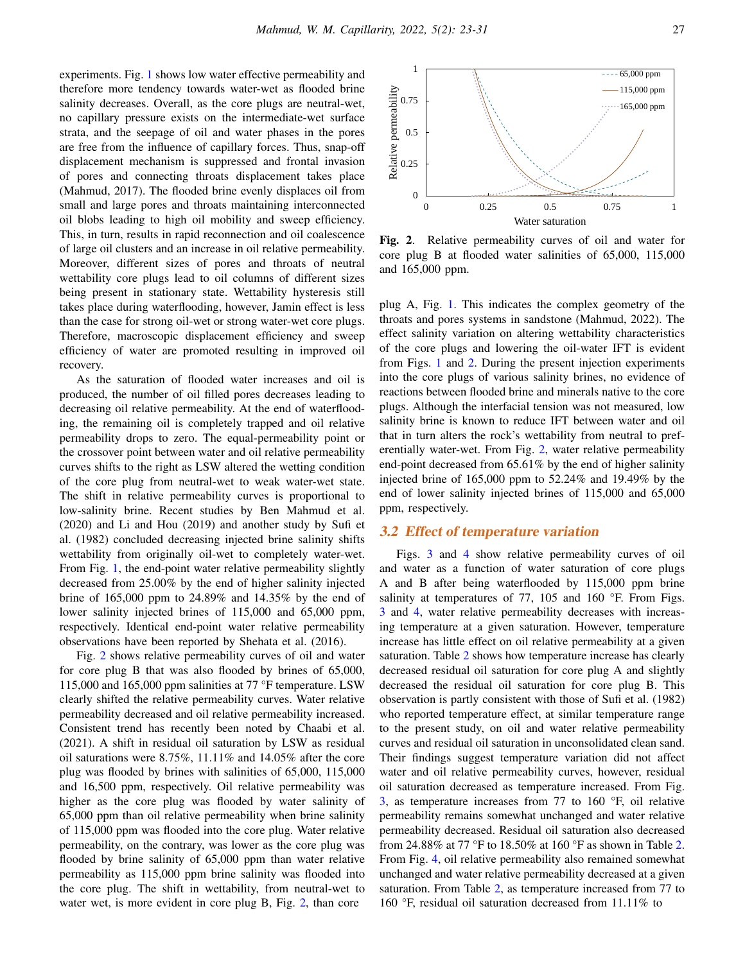experiments. Fig. [1](#page-3-0) shows low water effective permeability and therefore more tendency towards water-wet as flooded brine salinity decreases. Overall, as the core plugs are neutral-wet, no capillary pressure exists on the intermediate-wet surface strata, and the seepage of oil and water phases in the pores are free from the influence of capillary forces. Thus, snap-off displacement mechanism is suppressed and frontal invasion of pores and connecting throats displacement takes place (Mahmud, 2017). The flooded brine evenly displaces oil from small and large pores and throats maintaining interconnected oil blobs leading to high oil mobility and sweep efficiency. This, in turn, results in rapid reconnection and oil coalescence of large oil clusters and an increase in oil relative permeability. Moreover, different sizes of pores and throats of neutral wettability core plugs lead to oil columns of different sizes being present in stationary state. Wettability hysteresis still takes place during waterflooding, however, Jamin effect is less than the case for strong oil-wet or strong water-wet core plugs. Therefore, macroscopic displacement efficiency and sweep efficiency of water are promoted resulting in improved oil recovery.

As the saturation of flooded water increases and oil is produced, the number of oil filled pores decreases leading to decreasing oil relative permeability. At the end of waterflooding, the remaining oil is completely trapped and oil relative permeability drops to zero. The equal-permeability point or the crossover point between water and oil relative permeability curves shifts to the right as LSW altered the wetting condition of the core plug from neutral-wet to weak water-wet state. The shift in relative permeability curves is proportional to low-salinity brine. Recent studies by Ben Mahmud et al. (2020) and Li and Hou (2019) and another study by Sufi et al. (1982) concluded decreasing injected brine salinity shifts wettability from originally oil-wet to completely water-wet. From Fig. [1,](#page-3-0) the end-point water relative permeability slightly decreased from 25.00% by the end of higher salinity injected brine of 165,000 ppm to 24.89% and 14.35% by the end of lower salinity injected brines of 115,000 and 65,000 ppm, respectively. Identical end-point water relative permeability observations have been reported by Shehata et al. (2016).

Fig. [2](#page-4-0) shows relative permeability curves of oil and water for core plug B that was also flooded by brines of 65,000, 115,000 and 165,000 ppm salinities at 77 °F temperature. LSW clearly shifted the relative permeability curves. Water relative permeability decreased and oil relative permeability increased. Consistent trend has recently been noted by Chaabi et al. (2021). A shift in residual oil saturation by LSW as residual oil saturations were 8.75%, 11.11% and 14.05% after the core plug was flooded by brines with salinities of 65,000, 115,000 and 16,500 ppm, respectively. Oil relative permeability was higher as the core plug was flooded by water salinity of 65,000 ppm than oil relative permeability when brine salinity of 115,000 ppm was flooded into the core plug. Water relative permeability, on the contrary, was lower as the core plug was flooded by brine salinity of 65,000 ppm than water relative permeability as 115,000 ppm brine salinity was flooded into the core plug. The shift in wettability, from neutral-wet to water wet, is more evident in core plug B, Fig. [2,](#page-4-0) than core



<span id="page-4-0"></span>Fig. 2. Relative permeability curves of oil and water for core plug B at flooded water salinities of 65,000, 115,000 and 165,000 ppm.

plug A, Fig. [1.](#page-3-0) This indicates the complex geometry of the throats and pores systems in sandstone (Mahmud, 2022). The effect salinity variation on altering wettability characteristics of the core plugs and lowering the oil-water IFT is evident from Figs. [1](#page-3-0) and [2.](#page-4-0) During the present injection experiments into the core plugs of various salinity brines, no evidence of reactions between flooded brine and minerals native to the core plugs. Although the interfacial tension was not measured, low salinity brine is known to reduce IFT between water and oil that in turn alters the rock's wettability from neutral to preferentially water-wet. From Fig. [2,](#page-4-0) water relative permeability end-point decreased from 65.61% by the end of higher salinity injected brine of 165,000 ppm to 52.24% and 19.49% by the end of lower salinity injected brines of 115,000 and 65,000 ppm, respectively.

#### 3.2 Effect of temperature variation

Figs. [3](#page-5-0) and [4](#page-5-1) show relative permeability curves of oil and water as a function of water saturation of core plugs A and B after being waterflooded by 115,000 ppm brine salinity at temperatures of 77, 105 and 160 °F. From Figs. [3](#page-5-0) and [4,](#page-5-1) water relative permeability decreases with increasing temperature at a given saturation. However, temperature increase has little effect on oil relative permeability at a given saturation. Table [2](#page-5-2) shows how temperature increase has clearly decreased residual oil saturation for core plug A and slightly decreased the residual oil saturation for core plug B. This observation is partly consistent with those of Sufi et al. (1982) who reported temperature effect, at similar temperature range to the present study, on oil and water relative permeability curves and residual oil saturation in unconsolidated clean sand. Their findings suggest temperature variation did not affect water and oil relative permeability curves, however, residual oil saturation decreased as temperature increased. From Fig. [3,](#page-5-0) as temperature increases from  $77$  to  $160^\circ$ F, oil relative permeability remains somewhat unchanged and water relative permeability decreased. Residual oil saturation also decreased from 24.88% at 77 °F to 18.50% at 160 °F as shown in Table [2.](#page-5-2) From Fig. [4,](#page-5-1) oil relative permeability also remained somewhat unchanged and water relative permeability decreased at a given saturation. From Table [2,](#page-5-2) as temperature increased from 77 to 160 °F, residual oil saturation decreased from 11.11% to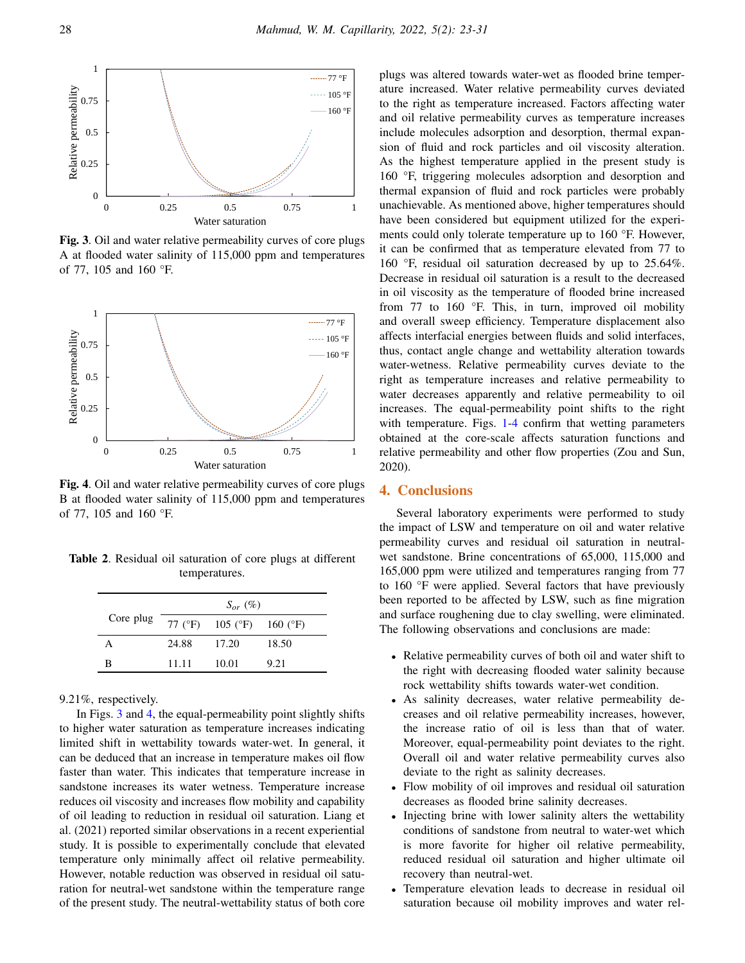

<span id="page-5-0"></span>Fig. 3. Oil and water relative permeability curves of core plugs A at flooded water salinity of 115,000 ppm and temperatures of 77, 105 and 160 °F.



<span id="page-5-1"></span>Fig. 4. Oil and water relative permeability curves of core plugs B at flooded water salinity of 115,000 ppm and temperatures of 77, 105 and 160 °F.

Table 2. Residual oil saturation of core plugs at different temperatures.

<span id="page-5-2"></span>

|           |       | $S_{or}$ (%)     |          |
|-----------|-------|------------------|----------|
| Core plug |       | 77 (°F) 105 (°F) | 160 (°F) |
|           | 24.88 | 17.20            | 18.50    |
| R         | 11.11 | 10.01            | 9.21     |

9.21%, respectively.

In Figs. [3](#page-5-0) and [4,](#page-5-1) the equal-permeability point slightly shifts to higher water saturation as temperature increases indicating limited shift in wettability towards water-wet. In general, it can be deduced that an increase in temperature makes oil flow faster than water. This indicates that temperature increase in sandstone increases its water wetness. Temperature increase reduces oil viscosity and increases flow mobility and capability of oil leading to reduction in residual oil saturation. Liang et al. (2021) reported similar observations in a recent experiential study. It is possible to experimentally conclude that elevated temperature only minimally affect oil relative permeability. However, notable reduction was observed in residual oil saturation for neutral-wet sandstone within the temperature range of the present study. The neutral-wettability status of both core

plugs was altered towards water-wet as flooded brine temperature increased. Water relative permeability curves deviated to the right as temperature increased. Factors affecting water and oil relative permeability curves as temperature increases include molecules adsorption and desorption, thermal expansion of fluid and rock particles and oil viscosity alteration. As the highest temperature applied in the present study is 160 °F, triggering molecules adsorption and desorption and thermal expansion of fluid and rock particles were probably unachievable. As mentioned above, higher temperatures should have been considered but equipment utilized for the experiments could only tolerate temperature up to 160 °F. However, it can be confirmed that as temperature elevated from 77 to 160 °F, residual oil saturation decreased by up to 25.64%. Decrease in residual oil saturation is a result to the decreased in oil viscosity as the temperature of flooded brine increased from 77 to 160 °F. This, in turn, improved oil mobility and overall sweep efficiency. Temperature displacement also affects interfacial energies between fluids and solid interfaces, thus, contact angle change and wettability alteration towards water-wetness. Relative permeability curves deviate to the right as temperature increases and relative permeability to water decreases apparently and relative permeability to oil increases. The equal-permeability point shifts to the right with temperature. Figs. [1-](#page-3-0)[4](#page-5-1) confirm that wetting parameters obtained at the core-scale affects saturation functions and relative permeability and other flow properties (Zou and Sun, 2020).

#### 4. Conclusions

Several laboratory experiments were performed to study the impact of LSW and temperature on oil and water relative permeability curves and residual oil saturation in neutralwet sandstone. Brine concentrations of 65,000, 115,000 and 165,000 ppm were utilized and temperatures ranging from 77 to 160 °F were applied. Several factors that have previously been reported to be affected by LSW, such as fine migration and surface roughening due to clay swelling, were eliminated. The following observations and conclusions are made:

- Relative permeability curves of both oil and water shift to the right with decreasing flooded water salinity because rock wettability shifts towards water-wet condition.
- As salinity decreases, water relative permeability decreases and oil relative permeability increases, however, the increase ratio of oil is less than that of water. Moreover, equal-permeability point deviates to the right. Overall oil and water relative permeability curves also deviate to the right as salinity decreases.
- Flow mobility of oil improves and residual oil saturation decreases as flooded brine salinity decreases.
- Injecting brine with lower salinity alters the wettability conditions of sandstone from neutral to water-wet which is more favorite for higher oil relative permeability, reduced residual oil saturation and higher ultimate oil recovery than neutral-wet.
- Temperature elevation leads to decrease in residual oil saturation because oil mobility improves and water rel-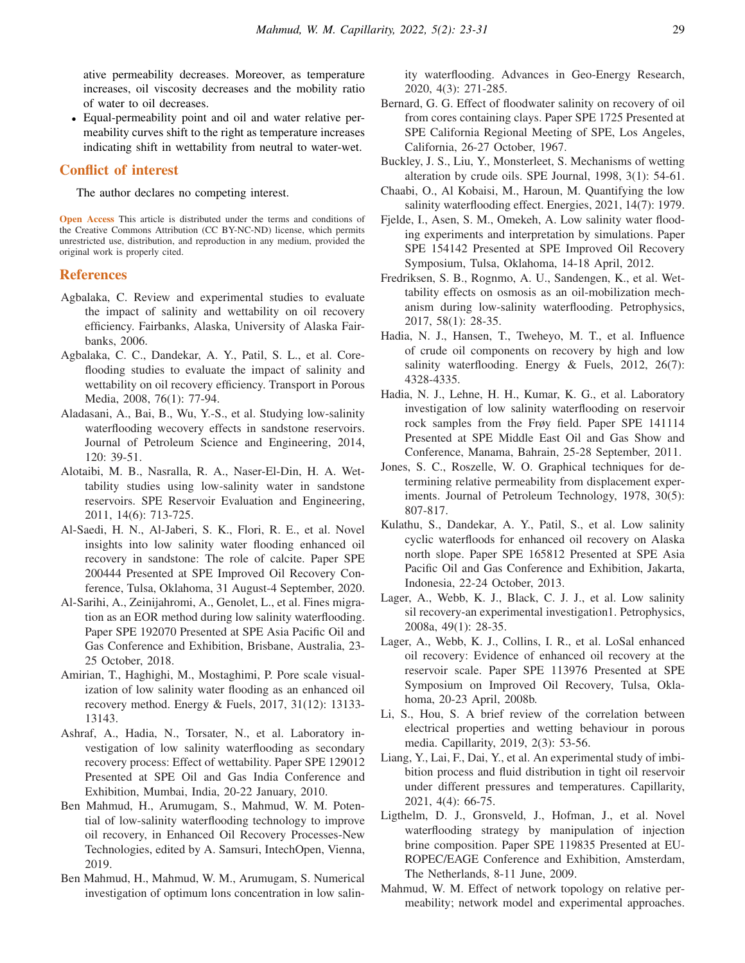ative permeability decreases. Moreover, as temperature increases, oil viscosity decreases and the mobility ratio of water to oil decreases.

• Equal-permeability point and oil and water relative permeability curves shift to the right as temperature increases indicating shift in wettability from neutral to water-wet.

#### Conflict of interest

The author declares no competing interest.

Open Access This article is distributed under the terms and conditions of the Creative Commons Attribution (CC BY-NC-ND) license, which permits unrestricted use, distribution, and reproduction in any medium, provided the original work is properly cited.

#### References

- Agbalaka, C. Review and experimental studies to evaluate the impact of salinity and wettability on oil recovery efficiency. Fairbanks, Alaska, University of Alaska Fairbanks, 2006.
- Agbalaka, C. C., Dandekar, A. Y., Patil, S. L., et al. Coreflooding studies to evaluate the impact of salinity and wettability on oil recovery efficiency. Transport in Porous Media, 2008, 76(1): 77-94.
- Aladasani, A., Bai, B., Wu, Y.-S., et al. Studying low-salinity waterflooding wecovery effects in sandstone reservoirs. Journal of Petroleum Science and Engineering, 2014, 120: 39-51.
- Alotaibi, M. B., Nasralla, R. A., Naser-El-Din, H. A. Wettability studies using low-salinity water in sandstone reservoirs. SPE Reservoir Evaluation and Engineering, 2011, 14(6): 713-725.
- Al-Saedi, H. N., Al-Jaberi, S. K., Flori, R. E., et al. Novel insights into low salinity water flooding enhanced oil recovery in sandstone: The role of calcite. Paper SPE 200444 Presented at SPE Improved Oil Recovery Conference, Tulsa, Oklahoma, 31 August-4 September, 2020.
- Al-Sarihi, A., Zeinijahromi, A., Genolet, L., et al. Fines migration as an EOR method during low salinity waterflooding. Paper SPE 192070 Presented at SPE Asia Pacific Oil and Gas Conference and Exhibition, Brisbane, Australia, 23- 25 October, 2018.
- Amirian, T., Haghighi, M., Mostaghimi, P. Pore scale visualization of low salinity water flooding as an enhanced oil recovery method. Energy & Fuels, 2017, 31(12): 13133- 13143.
- Ashraf, A., Hadia, N., Torsater, N., et al. Laboratory investigation of low salinity waterflooding as secondary recovery process: Effect of wettability. Paper SPE 129012 Presented at SPE Oil and Gas India Conference and Exhibition, Mumbai, India, 20-22 January, 2010.
- Ben Mahmud, H., Arumugam, S., Mahmud, W. M. Potential of low-salinity waterflooding technology to improve oil recovery, in Enhanced Oil Recovery Processes-New Technologies, edited by A. Samsuri, IntechOpen, Vienna, 2019.
- Ben Mahmud, H., Mahmud, W. M., Arumugam, S. Numerical investigation of optimum lons concentration in low salin-

ity waterflooding. Advances in Geo-Energy Research, 2020, 4(3): 271-285.

- Bernard, G. G. Effect of floodwater salinity on recovery of oil from cores containing clays. Paper SPE 1725 Presented at SPE California Regional Meeting of SPE, Los Angeles, California, 26-27 October, 1967.
- Buckley, J. S., Liu, Y., Monsterleet, S. Mechanisms of wetting alteration by crude oils. SPE Journal, 1998, 3(1): 54-61.
- Chaabi, O., Al Kobaisi, M., Haroun, M. Quantifying the low salinity waterflooding effect. Energies, 2021, 14(7): 1979.
- Fjelde, I., Asen, S. M., Omekeh, A. Low salinity water flooding experiments and interpretation by simulations. Paper SPE 154142 Presented at SPE Improved Oil Recovery Symposium, Tulsa, Oklahoma, 14-18 April, 2012.
- Fredriksen, S. B., Rognmo, A. U., Sandengen, K., et al. Wettability effects on osmosis as an oil-mobilization mechanism during low-salinity waterflooding. Petrophysics, 2017, 58(1): 28-35.
- Hadia, N. J., Hansen, T., Tweheyo, M. T., et al. Influence of crude oil components on recovery by high and low salinity waterflooding. Energy & Fuels, 2012, 26(7): 4328-4335.
- Hadia, N. J., Lehne, H. H., Kumar, K. G., et al. Laboratory investigation of low salinity waterflooding on reservoir rock samples from the Frøy field. Paper SPE 141114 Presented at SPE Middle East Oil and Gas Show and Conference, Manama, Bahrain, 25-28 September, 2011.
- Jones, S. C., Roszelle, W. O. Graphical techniques for determining relative permeability from displacement experiments. Journal of Petroleum Technology, 1978, 30(5): 807-817.
- Kulathu, S., Dandekar, A. Y., Patil, S., et al. Low salinity cyclic waterfloods for enhanced oil recovery on Alaska north slope. Paper SPE 165812 Presented at SPE Asia Pacific Oil and Gas Conference and Exhibition, Jakarta, Indonesia, 22-24 October, 2013.
- Lager, A., Webb, K. J., Black, C. J. J., et al. Low salinity sil recovery-an experimental investigation1. Petrophysics, 2008a, 49(1): 28-35.
- Lager, A., Webb, K. J., Collins, I. R., et al. LoSal enhanced oil recovery: Evidence of enhanced oil recovery at the reservoir scale. Paper SPE 113976 Presented at SPE Symposium on Improved Oil Recovery, Tulsa, Oklahoma, 20-23 April, 2008b.
- Li, S., Hou, S. A brief review of the correlation between electrical properties and wetting behaviour in porous media. Capillarity, 2019, 2(3): 53-56.
- Liang, Y., Lai, F., Dai, Y., et al. An experimental study of imbibition process and fluid distribution in tight oil reservoir under different pressures and temperatures. Capillarity, 2021, 4(4): 66-75.
- Ligthelm, D. J., Gronsveld, J., Hofman, J., et al. Novel waterflooding strategy by manipulation of injection brine composition. Paper SPE 119835 Presented at EU-ROPEC/EAGE Conference and Exhibition, Amsterdam, The Netherlands, 8-11 June, 2009.
- Mahmud, W. M. Effect of network topology on relative permeability; network model and experimental approaches.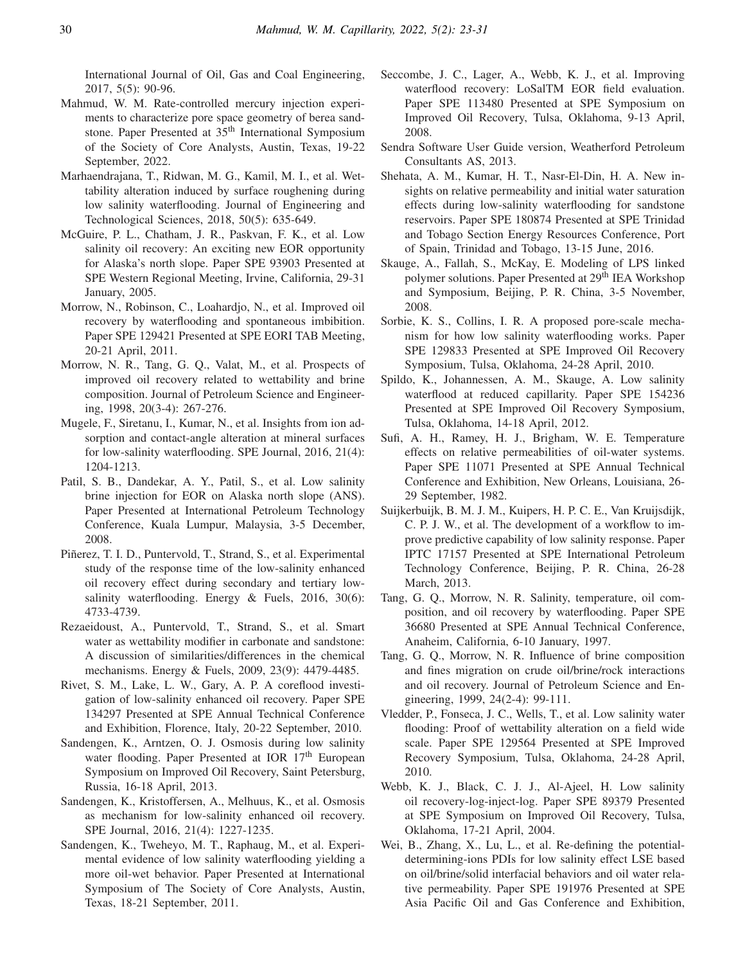International Journal of Oil, Gas and Coal Engineering, 2017, 5(5): 90-96.

- Mahmud, W. M. Rate-controlled mercury injection experiments to characterize pore space geometry of berea sandstone. Paper Presented at 35<sup>th</sup> International Symposium of the Society of Core Analysts, Austin, Texas, 19-22 September, 2022.
- Marhaendrajana, T., Ridwan, M. G., Kamil, M. I., et al. Wettability alteration induced by surface roughening during low salinity waterflooding. Journal of Engineering and Technological Sciences, 2018, 50(5): 635-649.
- McGuire, P. L., Chatham, J. R., Paskvan, F. K., et al. Low salinity oil recovery: An exciting new EOR opportunity for Alaska's north slope. Paper SPE 93903 Presented at SPE Western Regional Meeting, Irvine, California, 29-31 January, 2005.
- Morrow, N., Robinson, C., Loahardjo, N., et al. Improved oil recovery by waterflooding and spontaneous imbibition. Paper SPE 129421 Presented at SPE EORI TAB Meeting, 20-21 April, 2011.
- Morrow, N. R., Tang, G. Q., Valat, M., et al. Prospects of improved oil recovery related to wettability and brine composition. Journal of Petroleum Science and Engineering, 1998, 20(3-4): 267-276.
- Mugele, F., Siretanu, I., Kumar, N., et al. Insights from ion adsorption and contact-angle alteration at mineral surfaces for low-salinity waterflooding. SPE Journal, 2016, 21(4): 1204-1213.
- Patil, S. B., Dandekar, A. Y., Patil, S., et al. Low salinity brine injection for EOR on Alaska north slope (ANS). Paper Presented at International Petroleum Technology Conference, Kuala Lumpur, Malaysia, 3-5 December, 2008.
- Piñerez, T. I. D., Puntervold, T., Strand, S., et al. Experimental study of the response time of the low-salinity enhanced oil recovery effect during secondary and tertiary lowsalinity waterflooding. Energy & Fuels, 2016, 30(6): 4733-4739.
- Rezaeidoust, A., Puntervold, T., Strand, S., et al. Smart water as wettability modifier in carbonate and sandstone: A discussion of similarities/differences in the chemical mechanisms. Energy & Fuels, 2009, 23(9): 4479-4485.
- Rivet, S. M., Lake, L. W., Gary, A. P. A coreflood investigation of low-salinity enhanced oil recovery. Paper SPE 134297 Presented at SPE Annual Technical Conference and Exhibition, Florence, Italy, 20-22 September, 2010.
- Sandengen, K., Arntzen, O. J. Osmosis during low salinity water flooding. Paper Presented at IOR 17<sup>th</sup> European Symposium on Improved Oil Recovery, Saint Petersburg, Russia, 16-18 April, 2013.
- Sandengen, K., Kristoffersen, A., Melhuus, K., et al. Osmosis as mechanism for low-salinity enhanced oil recovery. SPE Journal, 2016, 21(4): 1227-1235.
- Sandengen, K., Tweheyo, M. T., Raphaug, M., et al. Experimental evidence of low salinity waterflooding yielding a more oil-wet behavior. Paper Presented at International Symposium of The Society of Core Analysts, Austin, Texas, 18-21 September, 2011.
- Seccombe, J. C., Lager, A., Webb, K. J., et al. Improving waterflood recovery: LoSalTM EOR field evaluation. Paper SPE 113480 Presented at SPE Symposium on Improved Oil Recovery, Tulsa, Oklahoma, 9-13 April, 2008.
- Sendra Software User Guide version, Weatherford Petroleum Consultants AS, 2013.
- Shehata, A. M., Kumar, H. T., Nasr-El-Din, H. A. New insights on relative permeability and initial water saturation effects during low-salinity waterflooding for sandstone reservoirs. Paper SPE 180874 Presented at SPE Trinidad and Tobago Section Energy Resources Conference, Port of Spain, Trinidad and Tobago, 13-15 June, 2016.
- Skauge, A., Fallah, S., McKay, E. Modeling of LPS linked polymer solutions. Paper Presented at 29th IEA Workshop and Symposium, Beijing, P. R. China, 3-5 November, 2008.
- Sorbie, K. S., Collins, I. R. A proposed pore-scale mechanism for how low salinity waterflooding works. Paper SPE 129833 Presented at SPE Improved Oil Recovery Symposium, Tulsa, Oklahoma, 24-28 April, 2010.
- Spildo, K., Johannessen, A. M., Skauge, A. Low salinity waterflood at reduced capillarity. Paper SPE 154236 Presented at SPE Improved Oil Recovery Symposium, Tulsa, Oklahoma, 14-18 April, 2012.
- Sufi, A. H., Ramey, H. J., Brigham, W. E. Temperature effects on relative permeabilities of oil-water systems. Paper SPE 11071 Presented at SPE Annual Technical Conference and Exhibition, New Orleans, Louisiana, 26- 29 September, 1982.
- Suijkerbuijk, B. M. J. M., Kuipers, H. P. C. E., Van Kruijsdijk, C. P. J. W., et al. The development of a workflow to improve predictive capability of low salinity response. Paper IPTC 17157 Presented at SPE International Petroleum Technology Conference, Beijing, P. R. China, 26-28 March, 2013.
- Tang, G. Q., Morrow, N. R. Salinity, temperature, oil composition, and oil recovery by waterflooding. Paper SPE 36680 Presented at SPE Annual Technical Conference, Anaheim, California, 6-10 January, 1997.
- Tang, G. Q., Morrow, N. R. Influence of brine composition and fines migration on crude oil/brine/rock interactions and oil recovery. Journal of Petroleum Science and Engineering, 1999, 24(2-4): 99-111.
- Vledder, P., Fonseca, J. C., Wells, T., et al. Low salinity water flooding: Proof of wettability alteration on a field wide scale. Paper SPE 129564 Presented at SPE Improved Recovery Symposium, Tulsa, Oklahoma, 24-28 April, 2010.
- Webb, K. J., Black, C. J. J., Al-Ajeel, H. Low salinity oil recovery-log-inject-log. Paper SPE 89379 Presented at SPE Symposium on Improved Oil Recovery, Tulsa, Oklahoma, 17-21 April, 2004.
- Wei, B., Zhang, X., Lu, L., et al. Re-defining the potentialdetermining-ions PDIs for low salinity effect LSE based on oil/brine/solid interfacial behaviors and oil water relative permeability. Paper SPE 191976 Presented at SPE Asia Pacific Oil and Gas Conference and Exhibition,